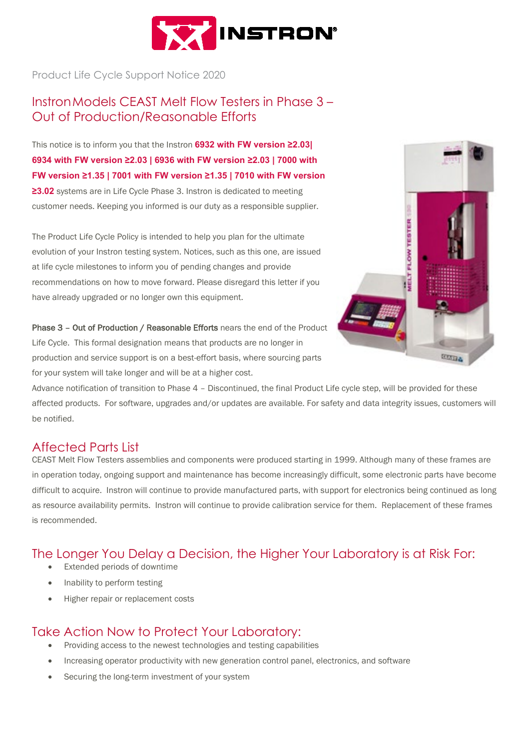

Product Life Cycle Support Notice 2020

### InstronModels CEAST Melt Flow Testers in Phase 3 – Out of Production/Reasonable Efforts

This notice is to inform you that the Instron **6932 with FW version ≥2.03| 6934 with FW version ≥2.03 | 6936 with FW version ≥2.03 | 7000 with FW version ≥1.35 | 7001 with FW version ≥1.35 | 7010 with FW version** 

**≥3.02** systems are in Life Cycle Phase 3. Instron is dedicated to meeting customer needs. Keeping you informed is our duty as a responsible supplier.

The Product Life Cycle Policy is intended to help you plan for the ultimate evolution of your Instron testing system. Notices, such as this one, are issued at life cycle milestones to inform you of pending changes and provide recommendations on how to move forward. Please disregard this letter if you have already upgraded or no longer own this equipment.

Phase 3 - Out of Production / Reasonable Efforts nears the end of the Product Life Cycle. This formal designation means that products are no longer in production and service support is on a best-effort basis, where sourcing parts for your system will take longer and will be at a higher cost.



Advance notification of transition to Phase 4 – Discontinued, the final Product Life cycle step, will be provided for these affected products. For software, upgrades and/or updates are available. For safety and data integrity issues, customers will be notified.

#### Affected Parts List

CEAST Melt Flow Testers assemblies and components were produced starting in 1999. Although many of these frames are in operation today, ongoing support and maintenance has become increasingly difficult, some electronic parts have become difficult to acquire. Instron will continue to provide manufactured parts, with support for electronics being continued as long as resource availability permits. Instron will continue to provide calibration service for them. Replacement of these frames is recommended.

# The Longer You Delay a Decision, the Higher Your Laboratory is at Risk For:

- Extended periods of downtime
- Inability to perform testing
- Higher repair or replacement costs

### Take Action Now to Protect Your Laboratory:

- Providing access to the newest technologies and testing capabilities
- Increasing operator productivity with new generation control panel, electronics, and software
- Securing the long-term investment of your system